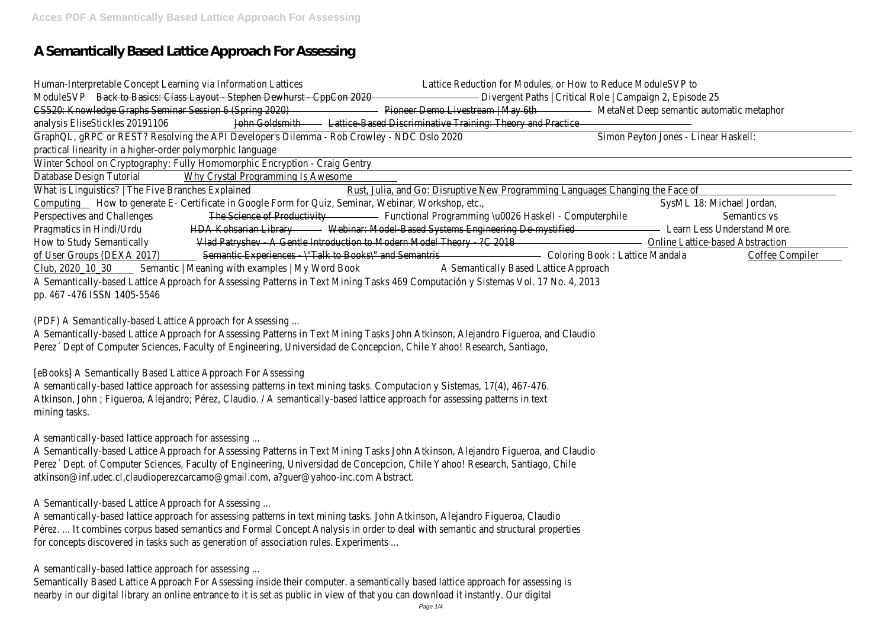# **A Semantically Based Lattice Approach For Assessing**

| Human-Interpretable Concept Learning via Information Lattices                              |                                                                                                                                  | Lattice Reduction for Modules, or How to Reduce ModuleSVP to                                        |                                                          |                                          |  |  |
|--------------------------------------------------------------------------------------------|----------------------------------------------------------------------------------------------------------------------------------|-----------------------------------------------------------------------------------------------------|----------------------------------------------------------|------------------------------------------|--|--|
| ModuleSVP                                                                                  | Back to Basics: Class Layout - Stephen Dewhurst - CppCon 2020                                                                    |                                                                                                     | Divergent Paths   Critical Role   Campaign 2, Episode 25 |                                          |  |  |
| CS520: Knowledge Graphs Seminar Session 6 (Spring 2020)                                    |                                                                                                                                  | Pioneer Demo Livestream   May 6th                                                                   |                                                          | MetaNet Deep semantic automatic metaphor |  |  |
| analysis EliseStickles 20191106                                                            | John Goldsmith                                                                                                                   | Lattice-Based Discriminative Training: Theory and Practice                                          |                                                          |                                          |  |  |
| GraphQL, gRPC or REST? Resolving the API Developer's Dilemma - Rob Crowley - NDC Oslo 2020 |                                                                                                                                  |                                                                                                     | Simon Peyton Jones - Linear Haskell:                     |                                          |  |  |
| practical linearity in a higher-order polymorphic language                                 |                                                                                                                                  |                                                                                                     |                                                          |                                          |  |  |
|                                                                                            | Winter School on Cryptography: Fully Homomorphic Encryption - Craig Gentry                                                       |                                                                                                     |                                                          |                                          |  |  |
| Database Design Tutorial                                                                   | Why Crystal Programming Is Awesome                                                                                               |                                                                                                     |                                                          |                                          |  |  |
| What is Linguistics?   The Five Branches Explained                                         |                                                                                                                                  | Rust, Julia, and Go: Disruptive New Programming Languages Changing the Face of                      |                                                          |                                          |  |  |
|                                                                                            | Computing Flow to generate E- Certificate in Google Form for Quiz, Seminar, Webinar, Workshop, etc.,                             |                                                                                                     |                                                          | SysML 18: Michael Jordan,                |  |  |
| Perspectives and Challenges                                                                |                                                                                                                                  | The Science of Productivity <b>Exercise 2 Functional Programming \u0026 Haskell</b> - Computerphile |                                                          | Semantics vs                             |  |  |
| Pragmatics in Hindi/Urdu                                                                   | HDA Kohsarian Library                                                                                                            | Webinar: Model-Based Systems Engineering De-mystified                                               |                                                          | Learn Less Understand More.              |  |  |
| How to Study Semantically                                                                  |                                                                                                                                  | Vlad Patryshev - A Gentle Introduction to Modern Model Theory - ?C 2018                             |                                                          | <b>Online Lattice-based Abstraction</b>  |  |  |
| of User Groups (DEXA 2017)                                                                 | Semantic Experiences - \"Talk to Books\" and Semantris                                                                           |                                                                                                     | Coloring Book: Lattice Mandala                           | <b>Coffee Compiler</b>                   |  |  |
| Club, 2020 10 30                                                                           | Semantic   Meaning with examples   My Word Book                                                                                  | A Semantically Based Lattice Approach                                                               |                                                          |                                          |  |  |
|                                                                                            | A Semantically-based Lattice Approach for Assessing Patterns in Text Mining Tasks 469 Computación y Sistemas Vol. 17 No. 4, 2013 |                                                                                                     |                                                          |                                          |  |  |
| pp. 467 -476 ISSN 1405-5546                                                                |                                                                                                                                  |                                                                                                     |                                                          |                                          |  |  |

(PDF) A Semantically-based Lattice Approach for Assessing ...

A Semantically-based Lattice Approach for Assessing Patterns in Text Mining Tasks John Atkinson, Alejandro Figueroa, and Claudio Perez´ Dept of Computer Sciences, Faculty of Engineering, Universidad de Concepcion, Chile Yahoo! Research, Santiago,

[eBooks] A Semantically Based Lattice Approach For Assessing

A semantically-based lattice approach for assessing patterns in text mining tasks. Computacion y Sistemas, 17(4), 467-476. Atkinson, John ; Figueroa, Alejandro; Pérez, Claudio. / A semantically-based lattice approach for assessing patterns in text mining tasks.

A semantically-based lattice approach for assessing ...

A Semantically-based Lattice Approach for Assessing Patterns in Text Mining Tasks John Atkinson, Alejandro Figueroa, and Claudio Perez´ Dept. of Computer Sciences, Faculty of Engineering, Universidad de Concepcion, Chile Yahoo! Research, Santiago, Chile atkinson@inf.udec.cl,claudioperezcarcamo@gmail.com, a?guer@yahoo-inc.com Abstract.

A Semantically-based Lattice Approach for Assessing ...

A semantically-based lattice approach for assessing patterns in text mining tasks. John Atkinson, Alejandro Figueroa, Claudio Pérez. ... It combines corpus based semantics and Formal Concept Analysis in order to deal with semantic and structural properties for concepts discovered in tasks such as generation of association rules. Experiments ...

A semantically-based lattice approach for assessing ...

Semantically Based Lattice Approach For Assessing inside their computer. a semantically based lattice approach for assessing is nearby in our digital library an online entrance to it is set as public in view of that you can download it instantly. Our digital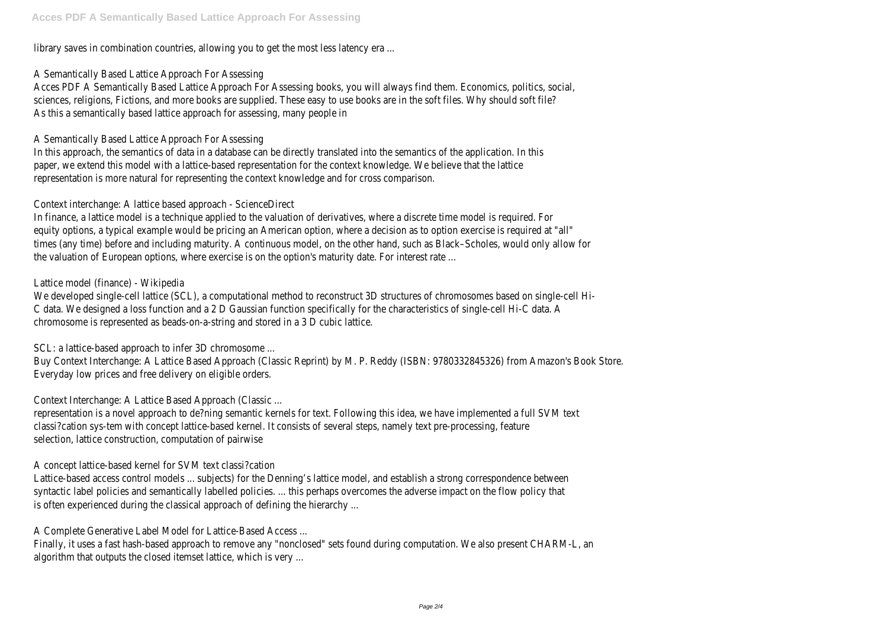library saves in combination countries, allowing you to get the most less latency era ...

# A Semantically Based Lattice Approach For Assessing

Acces PDF A Semantically Based Lattice Approach For Assessing books, you will always find them. Economics, politics, social, sciences, religions, Fictions, and more books are supplied. These easy to use books are in the soft files. Why should soft file? As this a semantically based lattice approach for assessing, many people in

# A Semantically Based Lattice Approach For Assessing

In this approach, the semantics of data in a database can be directly translated into the semantics of the application. In this paper, we extend this model with a lattice-based representation for the context knowledge. We believe that the lattice representation is more natural for representing the context knowledge and for cross comparison.

# Context interchange: A lattice based approach - ScienceDirect

In finance, a lattice model is a technique applied to the valuation of derivatives, where a discrete time model is required. For equity options, a typical example would be pricing an American option, where a decision as to option exercise is required at "all" times (any time) before and including maturity. A continuous model, on the other hand, such as Black–Scholes, would only allow for the valuation of European options, where exercise is on the option's maturity date. For interest rate ...

# Lattice model (finance) - Wikipedia

We developed single-cell lattice (SCL), a computational method to reconstruct 3D structures of chromosomes based on single-cell Hi-C data. We designed a loss function and a 2 D Gaussian function specifically for the characteristics of single-cell Hi-C data. A chromosome is represented as beads-on-a-string and stored in a 3 D cubic lattice.

SCL: a lattice-based approach to infer 3D chromosome ...

Buy Context Interchange: A Lattice Based Approach (Classic Reprint) by M. P. Reddy (ISBN: 9780332845326) from Amazon's Book Store. Everyday low prices and free delivery on eligible orders.

Context Interchange: A Lattice Based Approach (Classic ...

representation is a novel approach to de?ning semantic kernels for text. Following this idea, we have implemented a full SVM text classi?cation sys-tem with concept lattice-based kernel. It consists of several steps, namely text pre-processing, feature selection, lattice construction, computation of pairwise

A concept lattice-based kernel for SVM text classi?cation

Lattice-based access control models ... subjects) for the Denning's lattice model, and establish a strong correspondence between syntactic label policies and semantically labelled policies. ... this perhaps overcomes the adverse impact on the flow policy that is often experienced during the classical approach of defining the hierarchy ...

A Complete Generative Label Model for Lattice-Based Access ...

Finally, it uses a fast hash-based approach to remove any "nonclosed" sets found during computation. We also present CHARM-L, an algorithm that outputs the closed itemset lattice, which is very ...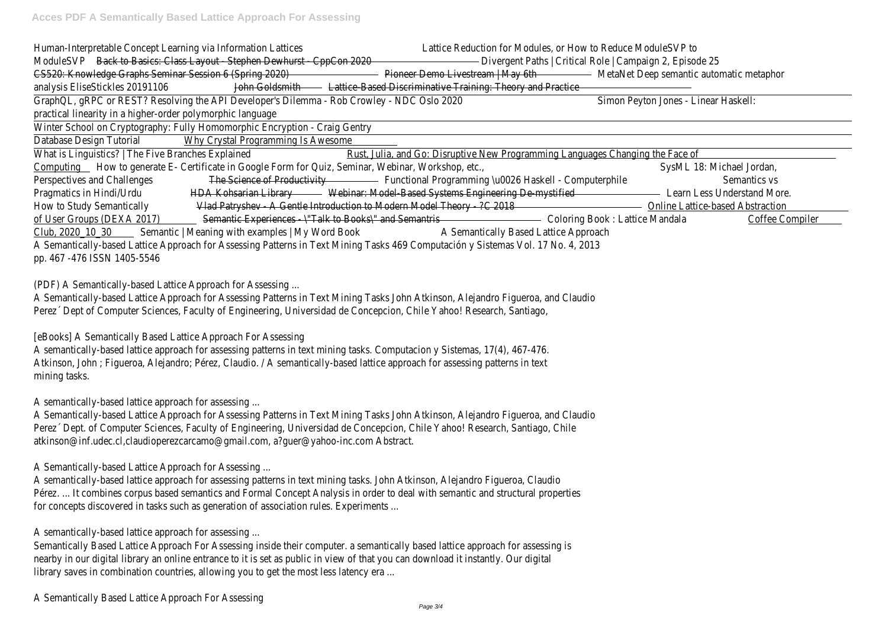| Human-Interpretable Concept Learning via Information Lattices                     |                                                                                                                                                          | Lattice Reduction for Modules, or How to Reduce ModuleSVP to                                                                                                                                                                                                                                                                                                                                                                                                                                                                                                                                                                                               |                                                                                                        |                                                                                |                                          |                                         |  |
|-----------------------------------------------------------------------------------|----------------------------------------------------------------------------------------------------------------------------------------------------------|------------------------------------------------------------------------------------------------------------------------------------------------------------------------------------------------------------------------------------------------------------------------------------------------------------------------------------------------------------------------------------------------------------------------------------------------------------------------------------------------------------------------------------------------------------------------------------------------------------------------------------------------------------|--------------------------------------------------------------------------------------------------------|--------------------------------------------------------------------------------|------------------------------------------|-----------------------------------------|--|
| Back to Basics: Class Layout - Stephen Dewhurst - CppCon 2020<br><b>ModuleSVP</b> |                                                                                                                                                          |                                                                                                                                                                                                                                                                                                                                                                                                                                                                                                                                                                                                                                                            | Divergent Paths   Critical Role   Campaign 2, Episode 25                                               |                                                                                |                                          |                                         |  |
|                                                                                   | CS520: Knowledge Graphs Seminar Session 6 (Spring 2020)                                                                                                  |                                                                                                                                                                                                                                                                                                                                                                                                                                                                                                                                                                                                                                                            |                                                                                                        | Pioneer Demo Livestream   May 6th                                              | MetaNet Deep semantic automatic metaphor |                                         |  |
|                                                                                   | analysis EliseStickles 20191106                                                                                                                          | John Goldsmith                                                                                                                                                                                                                                                                                                                                                                                                                                                                                                                                                                                                                                             | Lattice-Based Discriminative Training: Theory and Practice                                             |                                                                                |                                          |                                         |  |
|                                                                                   |                                                                                                                                                          | GraphQL, gRPC or REST? Resolving the API Developer's Dilemma - Rob Crowley - NDC Oslo 2020                                                                                                                                                                                                                                                                                                                                                                                                                                                                                                                                                                 |                                                                                                        |                                                                                | Simon Peyton Jones - Linear Haskell:     |                                         |  |
|                                                                                   | practical linearity in a higher-order polymorphic language                                                                                               |                                                                                                                                                                                                                                                                                                                                                                                                                                                                                                                                                                                                                                                            |                                                                                                        |                                                                                |                                          |                                         |  |
|                                                                                   |                                                                                                                                                          | Winter School on Cryptography: Fully Homomorphic Encryption - Craig Gentry                                                                                                                                                                                                                                                                                                                                                                                                                                                                                                                                                                                 |                                                                                                        |                                                                                |                                          |                                         |  |
| Database Design Tutorial                                                          |                                                                                                                                                          | Why Crystal Programming Is Awesome                                                                                                                                                                                                                                                                                                                                                                                                                                                                                                                                                                                                                         |                                                                                                        |                                                                                |                                          |                                         |  |
|                                                                                   | What is Linguistics?   The Five Branches Explained                                                                                                       |                                                                                                                                                                                                                                                                                                                                                                                                                                                                                                                                                                                                                                                            |                                                                                                        | Rust, Julia, and Go: Disruptive New Programming Languages Changing the Face of |                                          |                                         |  |
|                                                                                   |                                                                                                                                                          | Computing Flow to generate E- Certificate in Google Form for Quiz, Seminar, Webinar, Workshop, etc.,                                                                                                                                                                                                                                                                                                                                                                                                                                                                                                                                                       |                                                                                                        |                                                                                |                                          | SysML 18: Michael Jordan,               |  |
|                                                                                   | Perspectives and Challenges                                                                                                                              |                                                                                                                                                                                                                                                                                                                                                                                                                                                                                                                                                                                                                                                            | The Science of Productivity <b>Exercise 2018</b> Functional Programming \u0026 Haskell - Computerphile |                                                                                |                                          | Semantics vs                            |  |
| Pragmatics in Hindi/Urdu                                                          |                                                                                                                                                          |                                                                                                                                                                                                                                                                                                                                                                                                                                                                                                                                                                                                                                                            | HDA Kohsarian Library Webinar: Model-Based Systems Engineering De-mystified                            |                                                                                |                                          | Learn Less Understand More.             |  |
|                                                                                   | How to Study Semantically                                                                                                                                |                                                                                                                                                                                                                                                                                                                                                                                                                                                                                                                                                                                                                                                            | Vlad Patryshev - A Gentle Introduction to Modern Model Theory - ?C 2018                                |                                                                                |                                          | <b>Online Lattice-based Abstraction</b> |  |
|                                                                                   | of User Groups (DEXA 2017)                                                                                                                               | Semantic Experiences - \"Talk to Books\" and Semantris                                                                                                                                                                                                                                                                                                                                                                                                                                                                                                                                                                                                     |                                                                                                        |                                                                                | Coloring Book: Lattice Mandala           | <b>Coffee Compiler</b>                  |  |
| mining tasks.                                                                     | pp. 467 -476 ISSN 1405-5546<br>(PDF) A Semantically-based Lattice Approach for Assessing<br>[eBooks] A Semantically Based Lattice Approach For Assessing | A Semantically-based Lattice Approach for Assessing Patterns in Text Mining Tasks 469 Computación y Sistemas Vol. 17 No. 4, 2013<br>A Semantically-based Lattice Approach for Assessing Patterns in Text Mining Tasks John Atkinson, Alejandro Figueroa, and Claudio<br>Perez Dept of Computer Sciences, Faculty of Engineering, Universidad de Concepcion, Chile Yahoo! Research, Santiago,<br>A semantically-based lattice approach for assessing patterns in text mining tasks. Computacion y Sistemas, 17(4), 467-476.<br>Atkinson, John ; Figueroa, Alejandro; Pérez, Claudio. / A semantically-based lattice approach for assessing patterns in text |                                                                                                        |                                                                                |                                          |                                         |  |
|                                                                                   | A semantically-based lattice approach for assessing                                                                                                      | A Semantically-based Lattice Approach for Assessing Patterns in Text Mining Tasks John Atkinson, Alejandro Figueroa, and Claudio<br>Perez Dept. of Computer Sciences, Faculty of Engineering, Universidad de Concepcion, Chile Yahoo! Research, Santiago, Chile<br>atkinson@inf.udec.cl,claudioperezcarcamo@gmail.com, a?guer@yahoo-inc.com Abstract.                                                                                                                                                                                                                                                                                                      |                                                                                                        |                                                                                |                                          |                                         |  |
|                                                                                   | A Semantically-based Lattice Approach for Assessing                                                                                                      | A semantically-based lattice approach for assessing patterns in text mining tasks. John Atkinson, Alejandro Figueroa, Claudio<br>Pérez.  It combines corpus based semantics and Formal Concept Analysis in order to deal with semantic and structural properties                                                                                                                                                                                                                                                                                                                                                                                           |                                                                                                        |                                                                                |                                          |                                         |  |

for concepts discovered in tasks such as generation of association rules. Experiments ...

A semantically-based lattice approach for assessing ...

Semantically Based Lattice Approach For Assessing inside their computer. a semantically based lattice approach for assessing is nearby in our digital library an online entrance to it is set as public in view of that you can download it instantly. Our digital library saves in combination countries, allowing you to get the most less latency era ...

A Semantically Based Lattice Approach For Assessing

# tic automatic metaphor